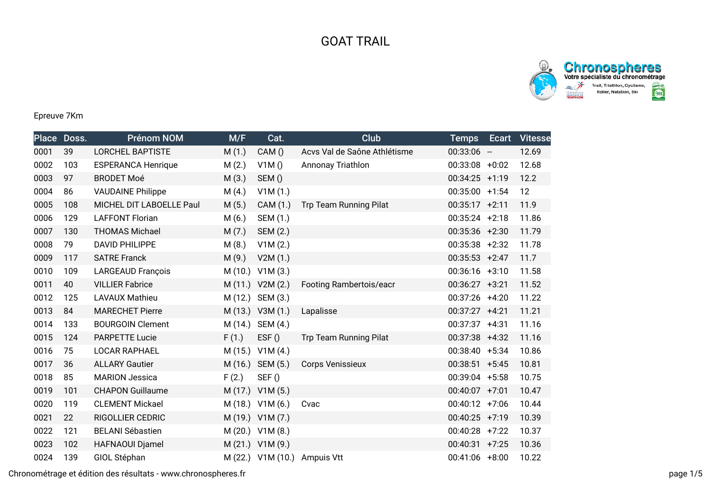## GOAT TRAIL



## Epreuve 7Km

|      | Place Doss. | <b>Prénom NOM</b>         | M/F     | Cat.                 | Club                          | <b>Temps</b>      | Ecart | <b>Vitesse</b> |
|------|-------------|---------------------------|---------|----------------------|-------------------------------|-------------------|-------|----------------|
| 0001 | 39          | <b>LORCHEL BAPTISTE</b>   | M(1.)   | CAM()                | Acvs Val de Saône Athlétisme  | $00:33:06 -$      |       | 12.69          |
| 0002 | 103         | <b>ESPERANCA Henrique</b> | M(2.)   | V1M()                | Annonay Triathlon             | $00:33:08$ +0:02  |       | 12.68          |
| 0003 | 97          | <b>BRODET Moé</b>         | M(3.)   | SEM()                |                               | $00:34:25$ +1:19  |       | 12.2           |
| 0004 | 86          | <b>VAUDAINE Philippe</b>  | M(4.)   | V1M(1.)              |                               | $00:35:00$ +1:54  |       | 12             |
| 0005 | 108         | MICHEL DIT LABOELLE Paul  | M(5.)   | CAM (1.)             | Trp Team Running Pilat        | $00:35:17 +2:11$  |       | 11.9           |
| 0006 | 129         | <b>LAFFONT Florian</b>    | M(6.)   | SEM (1.)             |                               | $00:35:24$ +2:18  |       | 11.86          |
| 0007 | 130         | <b>THOMAS Michael</b>     | M(7.)   | SEM (2.)             |                               | $00:35:36$ +2:30  |       | 11.79          |
| 0008 | 79          | <b>DAVID PHILIPPE</b>     | M(8.)   | V1M(2.)              |                               | $00:35:38$ +2:32  |       | 11.78          |
| 0009 | 117         | <b>SATRE Franck</b>       | M(9.)   | V2M(1.)              |                               | $00:35:53 +2:47$  |       | 11.7           |
| 0010 | 109         | <b>LARGEAUD François</b>  |         | $M(10.)$ V1M $(3.)$  |                               | $00:36:16$ +3:10  |       | 11.58          |
| 0011 | 40          | <b>VILLIER Fabrice</b>    |         | M (11.) V2M (2.)     | Footing Rambertois/eacr       | $00:36:27 +3:21$  |       | 11.52          |
| 0012 | 125         | <b>LAVAUX Mathieu</b>     |         | M (12.) SEM (3.)     |                               | 00:37:26 +4:20    |       | 11.22          |
| 0013 | 84          | <b>MARECHET Pierre</b>    |         | M (13.) V3M (1.)     | Lapalisse                     | $00:37:27 +4:21$  |       | 11.21          |
| 0014 | 133         | <b>BOURGOIN Clement</b>   | M (14.) | SEM (4.)             |                               | $00:37:37$ +4:31  |       | 11.16          |
| 0015 | 124         | <b>PARPETTE Lucie</b>     | F(1.)   | EST()                | <b>Trp Team Running Pilat</b> | 00:37:38 +4:32    |       | 11.16          |
| 0016 | 75          | <b>LOCAR RAPHAEL</b>      |         | M (15.) V1M (4.)     |                               | $00:38:40 +5:34$  |       | 10.86          |
| 0017 | 36          | <b>ALLARY Gautier</b>     |         | M (16.) SEM (5.)     | <b>Corps Venissieux</b>       | $00:38:51 + 5:45$ |       | 10.81          |
| 0018 | 85          | <b>MARION Jessica</b>     | F(2.)   | SEF()                |                               | $00:39:04$ +5:58  |       | 10.75          |
| 0019 | 101         | <b>CHAPON Guillaume</b>   |         | M (17.) V1M (5.)     |                               | $00:40:07$ +7:01  |       | 10.47          |
| 0020 | 119         | <b>CLEMENT Mickael</b>    |         | M (18.) V1M (6.)     | Cvac                          | $00:40:12 +7:06$  |       | 10.44          |
| 0021 | 22          | <b>RIGOLLIER CEDRIC</b>   |         | M (19.) V1M (7.)     |                               | $00:40:25$ +7:19  |       | 10.39          |
| 0022 | 121         | <b>BELANI Sébastien</b>   |         | M (20.) V1M (8.)     |                               | $00:40:28$ +7:22  |       | 10.37          |
| 0023 | 102         | HAFNAOUI Djamel           |         | M (21.) V1M (9.)     |                               | $00:40:31$ +7:25  |       | 10.36          |
| 0024 | 139         | GIOL Stéphan              |         | $M(22.)$ V1M $(10.)$ | Ampuis Vtt                    | $00:41:06$ +8:00  |       | 10.22          |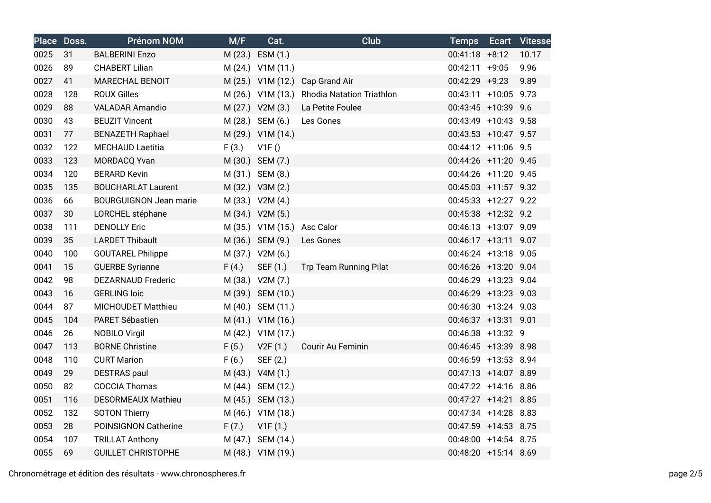|      | Place Doss. | <b>Prénom NOM</b>             | M/F   | Cat.                        | Club                                        | <b>Temps</b>         | <b>Ecart Vitesse</b> |
|------|-------------|-------------------------------|-------|-----------------------------|---------------------------------------------|----------------------|----------------------|
| 0025 | 31          | <b>BALBERINI Enzo</b>         |       | M (23.) ESM (1.)            |                                             | $00:41:18$ +8:12     | 10.17                |
| 0026 | 89          | <b>CHABERT Lilian</b>         |       | M (24.) V1M (11.)           |                                             | $00:42:11$ +9:05     | 9.96                 |
| 0027 | 41          | MARECHAL BENOIT               |       |                             | M (25.) V1M (12.) Cap Grand Air             | 00:42:29 +9:23       | 9.89                 |
| 0028 | 128         | <b>ROUX Gilles</b>            |       |                             | M (26.) V1M (13.) Rhodia Natation Triathlon | 00:43:11 +10:05 9.73 |                      |
| 0029 | 88          | <b>VALADAR Amandio</b>        |       | M (27.) V2M (3.)            | La Petite Foulee                            | 00:43:45 +10:39 9.6  |                      |
| 0030 | 43          | <b>BEUZIT Vincent</b>         |       | M (28.) SEM (6.)            | Les Gones                                   | 00:43:49 +10:43 9.58 |                      |
| 0031 | 77          | <b>BENAZETH Raphael</b>       |       | M (29.) V1M (14.)           |                                             | 00:43:53 +10:47 9.57 |                      |
| 0032 | 122         | <b>MECHAUD Laetitia</b>       | F(3.) | V1F()                       |                                             | 00:44:12 +11:06 9.5  |                      |
| 0033 | 123         | MORDACQ Yvan                  |       | M (30.) SEM (7.)            |                                             | 00:44:26 +11:20 9.45 |                      |
| 0034 | 120         | <b>BERARD Kevin</b>           |       | M (31.) SEM (8.)            |                                             | 00:44:26 +11:20 9.45 |                      |
| 0035 | 135         | <b>BOUCHARLAT Laurent</b>     |       | M (32.) V3M (2.)            |                                             | 00:45:03 +11:57 9.32 |                      |
| 0036 | 66          | <b>BOURGUIGNON Jean marie</b> |       | M (33.) V2M (4.)            |                                             | 00:45:33 +12:27 9.22 |                      |
| 0037 | 30          | LORCHEL stéphane              |       | M (34.) V2M (5.)            |                                             | 00:45:38 +12:32 9.2  |                      |
| 0038 | 111         | <b>DENOLLY Eric</b>           |       | M (35.) V1M (15.) Asc Calor |                                             | 00:46:13 +13:07 9.09 |                      |
| 0039 | 35          | <b>LARDET Thibault</b>        |       | M (36.) SEM (9.)            | Les Gones                                   | 00:46:17 +13:11 9.07 |                      |
| 0040 | 100         | <b>GOUTAREL Philippe</b>      |       | M (37.) V2M (6.)            |                                             | 00:46:24 +13:18 9.05 |                      |
| 0041 | 15          | <b>GUERBE Syrianne</b>        | F(4.) | SEF (1.)                    | Trp Team Running Pilat                      | 00:46:26 +13:20 9.04 |                      |
| 0042 | 98          | <b>DEZARNAUD Frederic</b>     |       | M (38.) V2M (7.)            |                                             | 00:46:29 +13:23 9.04 |                      |
| 0043 | 16          | <b>GERLING loic</b>           |       | M (39.) SEM (10.)           |                                             | 00:46:29 +13:23 9.03 |                      |
| 0044 | 87          | MICHOUDET Matthieu            |       | M (40.) SEM (11.)           |                                             | 00:46:30 +13:24 9.03 |                      |
| 0045 | 104         | PARET Sébastien               |       | M (41.) V1M (16.)           |                                             | 00:46:37 +13:31 9.01 |                      |
| 0046 | 26          | <b>NOBILO Virgil</b>          |       | M (42.) V1M (17.)           |                                             | 00:46:38 +13:32 9    |                      |
| 0047 | 113         | <b>BORNE Christine</b>        | F(5.) | V2F(1.)                     | Courir Au Feminin                           | 00:46:45 +13:39 8.98 |                      |
| 0048 | 110         | <b>CURT Marion</b>            | F(6.) | SEF (2.)                    |                                             | 00:46:59 +13:53 8.94 |                      |
| 0049 | 29          | <b>DESTRAS</b> paul           |       | M (43.) V4M (1.)            |                                             | 00:47:13 +14:07 8.89 |                      |
| 0050 | 82          | <b>COCCIA Thomas</b>          |       | M (44.) SEM (12.)           |                                             | 00:47:22 +14:16 8.86 |                      |
| 0051 | 116         | <b>DESORMEAUX Mathieu</b>     |       | M (45.) SEM (13.)           |                                             | 00:47:27 +14:21 8.85 |                      |
| 0052 | 132         | <b>SOTON Thierry</b>          |       | M (46.) V1M (18.)           |                                             | 00:47:34 +14:28 8.83 |                      |
| 0053 | 28          | POINSIGNON Catherine          | F(7.) | V1F(1.)                     |                                             | 00:47:59 +14:53 8.75 |                      |
| 0054 | 107         | <b>TRILLAT Anthony</b>        |       | M (47.) SEM (14.)           |                                             | 00:48:00 +14:54 8.75 |                      |
| 0055 | 69          | <b>GUILLET CHRISTOPHE</b>     |       | M (48.) V1M (19.)           |                                             | 00:48:20 +15:14 8.69 |                      |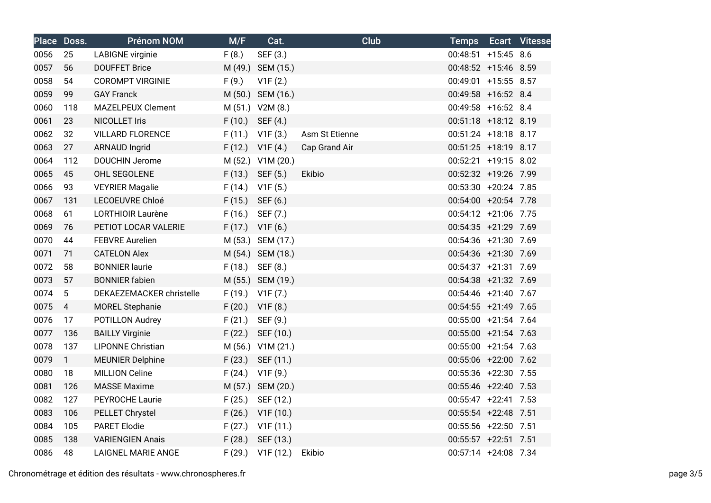|      | Place Doss.     | <b>Prénom NOM</b>         | M/F    | Cat.                | <b>Club</b>    | <b>Temps</b>         | <b>Ecart Vitesse</b> |
|------|-----------------|---------------------------|--------|---------------------|----------------|----------------------|----------------------|
| 0056 | 25              | <b>LABIGNE</b> virginie   | F(8.)  | SEF (3.)            |                | 00:48:51 +15:45 8.6  |                      |
| 0057 | 56              | <b>DOUFFET Brice</b>      |        | M (49.) SEM (15.)   |                | 00:48:52 +15:46 8.59 |                      |
| 0058 | 54              | <b>COROMPT VIRGINIE</b>   | F(9.)  | V1F(2.)             |                | 00:49:01 +15:55 8.57 |                      |
| 0059 | 99              | <b>GAY Franck</b>         |        | M (50.) SEM (16.)   |                | 00:49:58 +16:52 8.4  |                      |
| 0060 | 118             | <b>MAZELPEUX Clement</b>  |        | M (51.) V2M (8.)    |                | 00:49:58 +16:52 8.4  |                      |
| 0061 | 23              | <b>NICOLLET Iris</b>      | F(10.) | SEF (4.)            |                | 00:51:18 +18:12 8.19 |                      |
| 0062 | 32              | <b>VILLARD FLORENCE</b>   |        | $F(11.)$ V1F $(3.)$ | Asm St Etienne | 00:51:24 +18:18 8.17 |                      |
| 0063 | 27              | <b>ARNAUD Ingrid</b>      | F(12.) | V1F(4.)             | Cap Grand Air  | 00:51:25 +18:19 8.17 |                      |
| 0064 | 112             | <b>DOUCHIN Jerome</b>     |        | M (52.) V1M (20.)   |                | 00:52:21 +19:15 8.02 |                      |
| 0065 | 45              | OHL SEGOLENE              | F(13.) | SEF (5.)            | Ekibio         | 00:52:32 +19:26 7.99 |                      |
| 0066 | 93              | <b>VEYRIER Magalie</b>    | F(14.) | V1F(5.)             |                | 00:53:30 +20:24 7.85 |                      |
| 0067 | 131             | LECOEUVRE Chloé           | F(15.) | SEF (6.)            |                | 00:54:00 +20:54 7.78 |                      |
| 0068 | 61              | <b>LORTHIOIR Laurène</b>  | F(16.) | SEF (7.)            |                | 00:54:12 +21:06 7.75 |                      |
| 0069 | 76              | PETIOT LOCAR VALERIE      | F(17.) | V1F(6.)             |                | 00:54:35 +21:29 7.69 |                      |
| 0070 | 44              | <b>FEBVRE Aurelien</b>    |        | M (53.) SEM (17.)   |                | 00:54:36 +21:30 7.69 |                      |
| 0071 | 71              | <b>CATELON Alex</b>       |        | M (54.) SEM (18.)   |                | 00:54:36 +21:30 7.69 |                      |
| 0072 | 58              | <b>BONNIER laurie</b>     | F(18.) | SEF (8.)            |                | 00:54:37 +21:31 7.69 |                      |
| 0073 | 57              | <b>BONNIER</b> fabien     |        | M (55.) SEM (19.)   |                | 00:54:38 +21:32 7.69 |                      |
| 0074 | $5\phantom{.0}$ | DEKAEZEMACKER christelle  |        | $F(19.)$ V1F $(7.)$ |                | 00:54:46 +21:40 7.67 |                      |
| 0075 | $\overline{4}$  | <b>MOREL Stephanie</b>    | F(20.) | V1F(8.)             |                | 00:54:55 +21:49 7.65 |                      |
| 0076 | 17              | POTILLON Audrey           | F(21.) | SEF (9.)            |                | 00:55:00 +21:54 7.64 |                      |
| 0077 | 136             | <b>BAILLY Virginie</b>    | F(22.) | SEF (10.)           |                | 00:55:00 +21:54 7.63 |                      |
| 0078 | 137             | <b>LIPONNE Christian</b>  |        | M (56.) V1M (21.)   |                | 00:55:00 +21:54 7.63 |                      |
| 0079 | $\mathbf{1}$    | <b>MEUNIER Delphine</b>   | F(23.) | SEF (11.)           |                | 00:55:06 +22:00 7.62 |                      |
| 0080 | 18              | <b>MILLION Celine</b>     | F(24.) | V1F(9.)             |                | 00:55:36 +22:30 7.55 |                      |
| 0081 | 126             | <b>MASSE Maxime</b>       |        | M (57.) SEM (20.)   |                | 00:55:46 +22:40 7.53 |                      |
| 0082 | 127             | PEYROCHE Laurie           | F(25.) | SEF (12.)           |                | 00:55:47 +22:41 7.53 |                      |
| 0083 | 106             | PELLET Chrystel           | F(26.) | V1F(10.)            |                | 00:55:54 +22:48 7.51 |                      |
| 0084 | 105             | <b>PARET Elodie</b>       | F(27.) | V1F(11.)            |                | 00:55:56 +22:50 7.51 |                      |
| 0085 | 138             | <b>VARIENGIEN Anais</b>   |        | F (28.) SEF (13.)   |                | 00:55:57 +22:51 7.51 |                      |
| 0086 | 48              | <b>LAIGNEL MARIE ANGE</b> | F(29.) | V1F(12.)            | Ekibio         | 00:57:14 +24:08 7.34 |                      |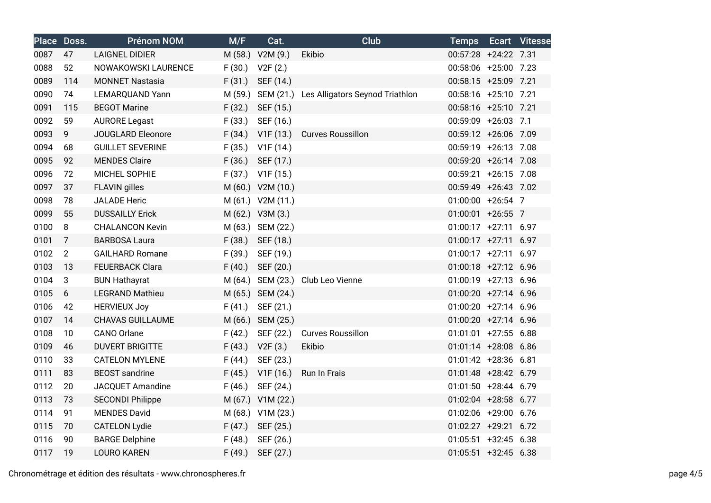|      | Place Doss.     | <b>Prénom NOM</b>       | M/F    | Cat.                 | <b>Club</b>                                       | <b>Temps</b>           | <b>Ecart Vitesse</b> |
|------|-----------------|-------------------------|--------|----------------------|---------------------------------------------------|------------------------|----------------------|
| 0087 | 47              | <b>LAIGNEL DIDIER</b>   |        | M (58.) V2M (9.)     | Ekibio                                            | 00:57:28 +24:22 7.31   |                      |
| 0088 | 52              | NOWAKOWSKI LAURENCE     | F(30.) | V2F(2.)              |                                                   | 00:58:06 +25:00 7.23   |                      |
| 0089 | 114             | <b>MONNET Nastasia</b>  | F(31.) | SEF (14.)            |                                                   | 00:58:15 +25:09 7.21   |                      |
| 0090 | 74              | LEMARQUAND Yann         |        |                      | M (59.) SEM (21.) Les Alligators Seynod Triathlon | 00:58:16 +25:10 7.21   |                      |
| 0091 | 115             | <b>BEGOT Marine</b>     | F(32.) | SEF (15.)            |                                                   | 00:58:16 +25:10 7.21   |                      |
| 0092 | 59              | <b>AURORE Legast</b>    | F(33.) | SEF (16.)            |                                                   | 00:59:09 +26:03 7.1    |                      |
| 0093 | 9               | JOUGLARD Eleonore       | F(34.) | V1F (13.)            | <b>Curves Roussillon</b>                          | 00:59:12 +26:06 7.09   |                      |
| 0094 | 68              | <b>GUILLET SEVERINE</b> | F(35.) | V1F (14.)            |                                                   | 00:59:19 +26:13 7.08   |                      |
| 0095 | 92              | <b>MENDES Claire</b>    | F(36.) | SEF (17.)            |                                                   | 00:59:20 +26:14 7.08   |                      |
| 0096 | 72              | MICHEL SOPHIE           |        | $F(37.)$ V1F $(15.)$ |                                                   | 00:59:21 +26:15 7.08   |                      |
| 0097 | 37              | <b>FLAVIN</b> gilles    |        | M (60.) V2M (10.)    |                                                   | 00:59:49 +26:43 7.02   |                      |
| 0098 | 78              | <b>JALADE Heric</b>     |        | M (61.) V2M (11.)    |                                                   | 01:00:00 +26:54 7      |                      |
| 0099 | 55              | <b>DUSSAILLY Erick</b>  |        | M (62.) V3M (3.)     |                                                   | 01:00:01 +26:55 7      |                      |
| 0100 | 8               | <b>CHALANCON Kevin</b>  |        | M (63.) SEM (22.)    |                                                   | $01:00:17$ +27:11 6.97 |                      |
| 0101 | $\overline{7}$  | <b>BARBOSA Laura</b>    |        | F (38.) SEF (18.)    |                                                   | 01:00:17 +27:11 6.97   |                      |
| 0102 | $\overline{2}$  | <b>GAILHARD Romane</b>  | F(39.) | SEF (19.)            |                                                   | $01:00:17$ +27:11 6.97 |                      |
| 0103 | 13              | <b>FEUERBACK Clara</b>  | F(40.) | SEF (20.)            |                                                   | 01:00:18 +27:12 6.96   |                      |
| 0104 | 3               | <b>BUN Hathayrat</b>    |        |                      | M (64.) SEM (23.) Club Leo Vienne                 | 01:00:19 +27:13 6.96   |                      |
| 0105 | $6\phantom{1}6$ | <b>LEGRAND Mathieu</b>  |        | M (65.) SEM (24.)    |                                                   | 01:00:20 +27:14 6.96   |                      |
| 0106 | 42              | <b>HERVIEUX Joy</b>     | F(41.) | SEF (21.)            |                                                   | $01:00:20$ +27:14 6.96 |                      |
| 0107 | 14              | <b>CHAVAS GUILLAUME</b> |        | M (66.) SEM (25.)    |                                                   | 01:00:20 +27:14 6.96   |                      |
| 0108 | 10              | <b>CANO Orlane</b>      | F(42.) | SEF (22.)            | <b>Curves Roussillon</b>                          | $01:01:01$ +27:55 6.88 |                      |
| 0109 | 46              | <b>DUVERT BRIGITTE</b>  | F(43.) | V2F(3.)              | Ekibio                                            | 01:01:14 +28:08 6.86   |                      |
| 0110 | 33              | <b>CATELON MYLENE</b>   | F(44.) | SEF (23.)            |                                                   | 01:01:42 +28:36 6.81   |                      |
| 0111 | 83              | <b>BEOST</b> sandrine   | F(45.) | V1F(16.)             | Run In Frais                                      | 01:01:48 +28:42 6.79   |                      |
| 0112 | 20              | <b>JACQUET Amandine</b> | F(46.) | SEF (24.)            |                                                   | 01:01:50 +28:44 6.79   |                      |
| 0113 | 73              | <b>SECONDI Philippe</b> |        | M (67.) V1M (22.)    |                                                   | 01:02:04 +28:58 6.77   |                      |
| 0114 | 91              | <b>MENDES David</b>     |        | M (68.) V1M (23.)    |                                                   | 01:02:06 +29:00 6.76   |                      |
| 0115 | 70              | <b>CATELON Lydie</b>    | F(47.) | SEF (25.)            |                                                   | 01:02:27 +29:21 6.72   |                      |
| 0116 | 90              | <b>BARGE Delphine</b>   | F(48.) | SEF (26.)            |                                                   | 01:05:51 +32:45 6.38   |                      |
| 0117 | 19              | <b>LOURO KAREN</b>      | F(49.) | SEF (27.)            |                                                   | 01:05:51 +32:45 6.38   |                      |